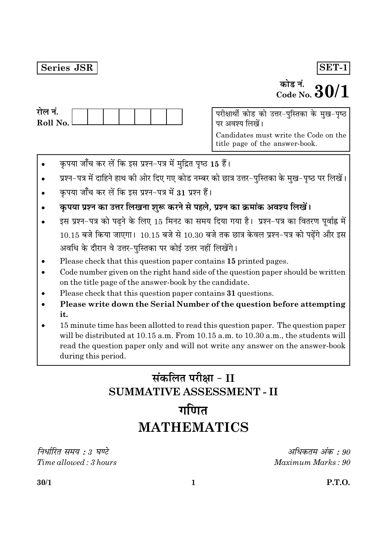#### **Series JSR**

#### $\overline{\text{SET-1}}$

# <sup>कोड नं.</sup><br>Code No.  $30/1$

| राल न.     |  |  |  |  |
|------------|--|--|--|--|
| Roll No. l |  |  |  |  |
|            |  |  |  |  |

परीक्षार्थी कोड को उत्तर-पुस्तिका के मुख-पृष्ठ पर अवश्य लिखें।

Candidates must write the Code on the title page of the answer-book.

- कृपया जाँच कर लें कि इस प्रश्न-पत्र में मुद्रित पृष्ठ 15 हैं।
- प्रश्न-पत्र में दाहिने हाथ की ओर दिए गए कोड नम्बर को छात्र उत्तर-पुस्तिका के मुख-पृष्ठ पर लिखें।
- कृपया जाँच कर लें कि इस प्रश्न-पत्र में 31 प्रश्न हैं।
- कृपया प्रश्न का उत्तर लिखना शुरू करने से पहले, प्रश्न का क्रमांक अवश्य लिखें।
- इस प्रश्न-पत्र को पढ़ने के लिए 15 मिनट का समय दिया गया है। प्रश्न-पत्र का वितरण पूर्वाह्न में  $10.15$  बजे किया जाएगा।  $10.15$  बजे से  $10.30$  बजे तक छात्र केवल प्रश्न-पत्र को पढ़ेंगे और इस अवधि के दौरान वे उत्तर-पुस्तिका पर कोई उत्तर नहीं लिखेंगे।
- Please check that this question paper contains 15 printed pages.
- Code number given on the right hand side of the question paper should be written on the title page of the answer-book by the candidate.
- Please check that this question paper contains 31 questions.
- Please write down the Serial Number of the question before attempting it.
- 15 minute time has been allotted to read this question paper. The question paper will be distributed at 10.15 a.m. From 10.15 a.m. to 10.30 a.m., the students will read the question paper only and will not write any answer on the answer-book during this period.

## संकलित परीक्षा - II **SUMMATIVE ASSESSMENT - II** गणित

# **MATHEMATICS**

निर्धारित समय : 3 घण्टे Time allowed: 3 hours

अधिकतम अंक : 90 Maximum Marks: 90

 $30/1$ 

**P.T.O.**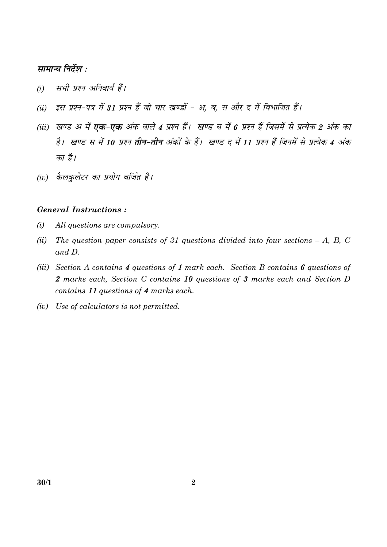#### सामान्य निर्देश :

- सभी प्रश्न अनिवार्य हैं।  $(i)$
- (ii) इस प्रश्न-पत्र में 31 प्रश्न हैं जो चार खण्डों अ. ब. स और द में विभाजित हैं।
- (iii) खण्ड अ में **एक-एक** अंक वाले 4 प्रश्न हैं। खण्ड ब में 6 प्रश्न हैं जिसमें से प्रत्येक 2 अंक का है। खण्ड स में 10 प्रश्न **तीन-तीन** अंकों के हैं। खण्ड द में 11 प्रश्न हैं जिनमें से प्रत्येक 4 अंक का है।
- (iv) कैलकुलेटर का प्रयोग वर्जित है।

#### **General Instructions:**

- All questions are compulsory.  $(i)$
- The question paper consists of 31 questions divided into four sections  $-A$ , B, C  $(ii)$ and D.
- (iii) Section A contains 4 questions of 1 mark each. Section B contains 6 questions of 2 marks each, Section C contains 10 questions of 3 marks each and Section D contains 11 questions of 4 marks each.
- (iv) Use of calculators is not permitted.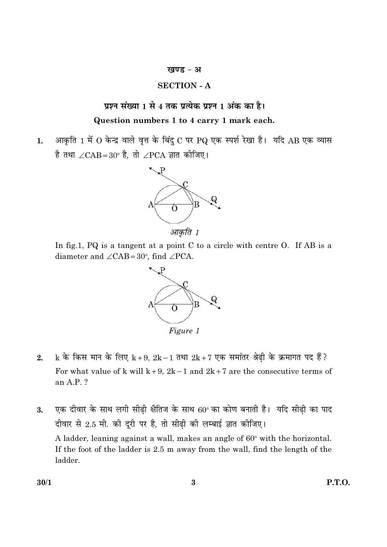#### खण्ड - अ

#### **SECTION - A**

#### प्रश्न संख्या 1 से 4 तक प्रत्येक प्रश्न 1 अंक का है।

#### Question numbers 1 to 4 carry 1 mark each.

आकृति 1 में 0 केन्द्र वाले वृत्त के बिंदु C पर PQ एक स्पर्श रेखा है। यदि AB एक व्यास  $1.$ है तथा  $\angle$ CAB=30° है, तो  $\angle$ PCA ज्ञात कीजिए।



In fig.1, PQ is a tangent at a point C to a circle with centre O. If AB is a diameter and  $\angle$ CAB=30°, find  $\angle$ PCA.



k के किस मान के लिए k+9, 2k-1 तथा 2k+7 एक समांतर श्रेढ़ी के क्रमागत पद हैं?  $2.$ For what value of k will  $k+9$ ,  $2k-1$  and  $2k+7$  are the consecutive terms of an A.P. ?

एक दीवार के साथ लगी सीढी क्षैतिज के साथ 60° का कोण बनाती है। यदि सीढी का पाद 3. दीवार से 2.5 मी. की दूरी पर है, तो सीढ़ी की लम्बाई ज्ञात कीजिए। A ladder, leaning against a wall, makes an angle of 60° with the horizontal. If the foot of the ladder is 2.5 m away from the wall, find the length of the ladder.

**P.T.O.**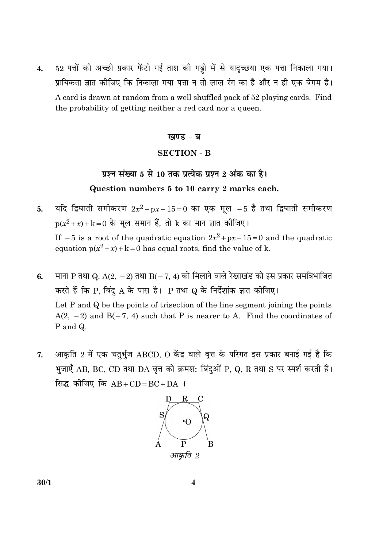52 पत्तों की अच्छी प्रकार फेंटी गई ताश की गड्डी में से यादृच्छया एक पत्ता निकाला गया।  $\overline{4}$ . प्रायिकता ज्ञात कीजिए कि निकाला गया पत्ता न तो लाल रंग का है और न ही एक बेग़म है। A card is drawn at random from a well shuffled pack of 52 playing cards. Find the probability of getting neither a red card nor a queen.

#### खण्ड - ब

#### **SECTION - B**

#### प्रश्न संख्या 5 से 10 तक प्रत्येक प्रश्न 2 अंक का है। Question numbers 5 to 10 carry 2 marks each.

- यदि द्विघाती समीकरण  $2x^2 + px 15 = 0$  का एक मूल  $-5$  है तथा द्विघाती समीकरण 5.  $p(x^2+x)+k=0$  के मृल समान हैं, तो  $k$  का मान ज्ञात कीजिए। If  $-5$  is a root of the quadratic equation  $2x^2+px-15=0$  and the quadratic equation  $p(x^2 + x) + k = 0$  has equal roots, find the value of k.
- माना P तथा Q, A(2, -2) तथा B(-7, 4) को मिलाने वाले रेखाखंड को इस प्रकार समत्रिभाजित 6. करते हैं कि P, बिंदु A के पास है। P तथा Q के निर्देशांक ज्ञात कीजिए। Let P and Q be the points of trisection of the line segment joining the points  $A(2, -2)$  and  $B(-7, 4)$  such that P is nearer to A. Find the coordinates of P and Q.
- आकृति 2 में एक चतुर्भुज ABCD, O केंद्र वाले वृत्त के परिगत इस प्रकार बनाई गई है कि 7. भुजाएँ AB, BC, CD तथा DA वृत्त को क्रमश: बिंदुओं P, Q, R तथा S पर स्पर्श करती हैं। सिद्ध कीजिए कि  $AB+CD=BC+DA$  ।



 $30/1$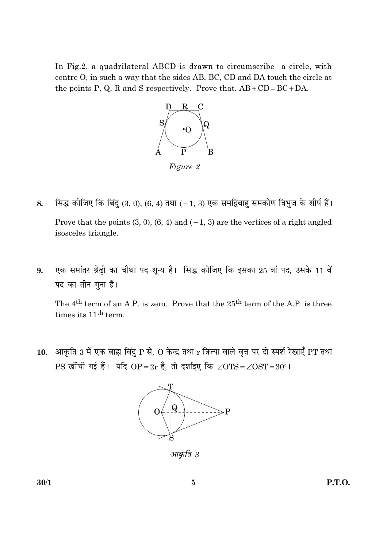In Fig.2, a quadrilateral ABCD is drawn to circumscribe a circle, with centre O, in such a way that the sides AB, BC, CD and DA touch the circle at the points P, Q, R and S respectively. Prove that.  $AB + CD = BC + DA$ .



- सिद्ध कीजिए कि बिंदु (3, 0), (6, 4) तथा (-1, 3) एक समद्विबाहु समकोण त्रिभुज के शीर्ष हैं। 8. Prove that the points  $(3, 0)$ ,  $(6, 4)$  and  $(-1, 3)$  are the vertices of a right angled isosceles triangle.
- एक समांतर श्रेढ़ी का चौथा पद शून्य है। सिद्ध कीजिए कि इसका 25 वां पद, उसके 11 वें 9. पद का तीन गुना है।

The  $4<sup>th</sup>$  term of an A.P. is zero. Prove that the  $25<sup>th</sup>$  term of the A.P. is three times its 11<sup>th</sup> term.

10. आकृति 3 में एक बाह्य बिंदु P से, O केन्द्र तथा r त्रिज्या वाले वृत्त पर दो स्पर्श रेखाएँ PT तथा PS खींची गई हैं। यदि OP=2r है, तो दर्शाइए कि ∠OTS=∠OST=30°।



आकृति 3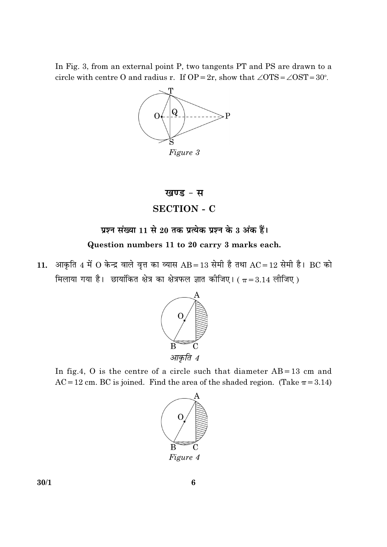In Fig. 3, from an external point P, two tangents PT and PS are drawn to a circle with centre O and radius r. If OP = 2r, show that  $\angle$ OTS =  $\angle$ OST = 30°.



#### खण्ड - स

#### **SECTION - C**

### प्रश्न संख्या 11 से 20 तक प्रत्येक प्रश्न के 3 अंक हैं।

#### Question numbers 11 to 20 carry 3 marks each.

11. आकृति 4 में O केन्द्र वाले वृत्त का व्यास AB = 13 सेमी है तथा AC = 12 सेमी है। BC को मिलाया गया है। छायांकित क्षेत्र का क्षेत्रफल ज्ञात कीजिए। ( $\pi$  = 3.14 लीजिए)



In fig.4, O is the centre of a circle such that diameter  $AB = 13$  cm and AC = 12 cm. BC is joined. Find the area of the shaded region. (Take  $\pi$  = 3.14)

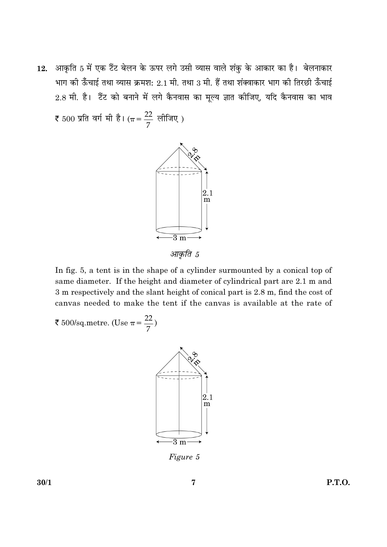आकृति 5 में एक टैंट बेलन के ऊपर लगे उसी व्यास वाले शंकु के आकार का है। बेलनाकार 12. भाग की ऊँचाई तथा व्यास क्रमश: 2.1 मी. तथा 3 मी. हैं तथा शंक्वाकार भाग की तिरछी ऊँचाई 2.8 मी. है। टैंट को बनाने में लगे कैनवास का मूल्य ज्ञात कीजिए, यदि कैनवास का भाव

₹ 500 प्रति वर्ग मी है। ( $\pi = \frac{22}{7}$  लीजिए)



आकति 5

In fig. 5, a tent is in the shape of a cylinder surmounted by a conical top of same diameter. If the height and diameter of cylindrical part are 2.1 m and 3 m respectively and the slant height of conical part is 2.8 m, find the cost of canvas needed to make the tent if the canvas is available at the rate of

₹ 500/sq.metre. (Use  $\pi = \frac{22}{7}$ )



Figure 5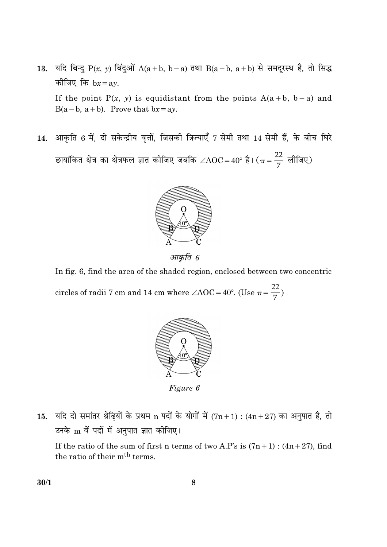- यदि बिन्दु P(x, y) बिंदुओं A(a+b, b-a) तथा B(a-b, a+b) से समदूरस्थ है, तो सिद्ध 13. कीजिए कि  $bx = ay$ . If the point  $P(x, y)$  is equidistant from the points  $A(a + b, b - a)$  and  $B(a - b, a + b)$ . Prove that  $bx = ay$ .
- आकृति 6 में, दो सकेन्द्रीय वृत्तों, जिसकी त्रिज्याएँ 7 सेमी तथा 14 सेमी हैं, के बीच घिरे 14. छायांकित क्षेत्र का क्षेत्रफल ज्ञात कीजिए जबकि  $\angle AOC = 40^{\circ}$  है। ( $\pi = \frac{22}{7}$  लीजिए)



आकृति 6

In fig. 6, find the area of the shaded region, enclosed between two concentric circles of radii 7 cm and 14 cm where  $\angle AOC = 40^{\circ}$ . (Use  $\pi = \frac{22}{7}$ )



Figure 6

15. यदि दो समांतर श्रेढ़ियों के प्रथम n पदों के योगों में  $(7n+1)$ :  $(4n+27)$  का अनुपात है, तो उनके m वें पदों में अनुपात ज्ञात कीजिए।

If the ratio of the sum of first n terms of two A.P's is  $(7n+1)$ :  $(4n+27)$ , find the ratio of their m<sup>th</sup> terms.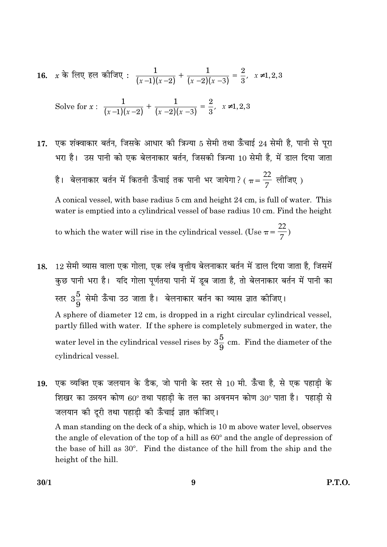16. 
$$
x \stackrel{.}{\circ} \pi
$$
 [eq]  $\overline{\circ}$  [eq]  $\overline{\circ}$  [eq]  $\pi$  [eq]  $\pi$   $\frac{1}{(x-1)(x-2)} + \frac{1}{(x-2)(x-3)} = \frac{2}{3}$ ,  $x \neq 1, 2, 3$ 

Solve for 
$$
x: \frac{1}{(x-1)(x-2)} + \frac{1}{(x-2)(x-3)} = \frac{2}{3}, x \neq 1, 2, 3
$$

- एक शंक्वाकार बर्तन, जिसके आधार की त्रिज्या 5 सेमी तथा ऊँचाई 24 सेमी है, पानी से पूरा 17. भरा है। उस पानी को एक बेलनाकार बर्तन, जिसकी त्रिज्या 10 सेमी है, में डाल दिया जाता
	- है। बेलनाकार बर्तन में कितनी ऊँचाई तक पानी भर जायेगा? (  $\pi = \frac{22}{7}$  लीजिए )

A conical vessel, with base radius 5 cm and height 24 cm, is full of water. This water is emptied into a cylindrical vessel of base radius 10 cm. Find the height

to which the water will rise in the cylindrical vessel. (Use  $\pi = \frac{22}{7}$ )

- 12 सेमी व्यास वाला एक गोला, एक लंब वृत्तीय बेलनाकार बर्तन में डाल दिया जाता है, जिसमें 18. कुछ पानी भरा है। यदि गोला पूर्णतया पानी में डूब जाता है, तो बेलनाकार बर्तन में पानी का स्तर  $3\frac{5}{9}$  सेमी ऊँँचा उठ जाता है। बेलनाकार बर्तन का व्यास ज्ञात कीजिए। A sphere of diameter 12 cm, is dropped in a right circular cylindrical vessel, partly filled with water. If the sphere is completely submerged in water, the water level in the cylindrical vessel rises by  $3\frac{5}{9}$  cm. Find the diameter of the cylindrical vessel.
- एक व्यक्ति एक जलयान के डैक, जो पानी के स्तर से 10 मी. ऊँचा है, से एक पहाडी के 19. शिखर का उन्नयन कोण 60° तथा पहाड़ी के तल का अवनमन कोण 30° पाता है। पहाड़ी से जलयान की दूरी तथा पहाड़ी की ऊँचाई ज्ञात कीजिए।

A man standing on the deck of a ship, which is 10 m above water level, observes the angle of elevation of the top of a hill as 60° and the angle of depression of the base of hill as 30°. Find the distance of the hill from the ship and the height of the hill.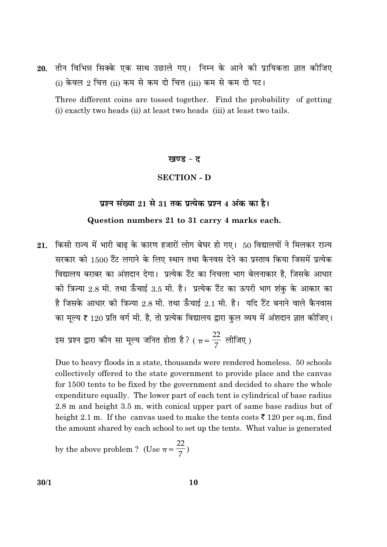20. तीन विभिन्न सिक्के एक साथ उछाले गए। निम्न के आने की प्रायिकता ज्ञात कीजिए (i) केवल 2 चित्त (ii) कम से कम दो चित्त (iii) कम से कम दो पट।

Three different coins are tossed together. Find the probability of getting (i) exactly two heads (ii) at least two heads (iii) at least two tails.

#### खण्ड - द

#### **SECTION - D**

#### प्रश्न संख्या 21 से 31 तक प्रत्येक प्रश्न 4 अंक का है।

#### Question numbers 21 to 31 carry 4 marks each.

21. किसी राज्य में भारी बाढ़ के कारण हजारों लोग बेघर हो गए। 50 विद्यालयों ने मिलकर राज्य सरकार को 1500 टैंट लगाने के लिए स्थान तथा कैनवस देने का प्रस्ताव किया जिसमें प्रत्येक विद्यालय बराबर का अंशदान देगा। प्रत्येक टैंट का निचला भाग बेलनाकार है, जिसके आधार की त्रिज्या 2.8 मी. तथा ऊँचाई 3.5 मी. है। प्रत्येक टैंट का ऊपरी भाग शंक के आकार का है जिसके आधार की त्रिज्या 2.8 मी. तथा ऊँचाई 2.1 मी. है। यदि टैंट बनाने वाले कैनवास का मूल्य ₹ 120 प्रति वर्ग मी. है, तो प्रत्येक विद्यालय द्वारा कुल व्यय में अंशदान ज्ञात कीजिए।

इस प्रश्न द्वारा कौन सा मूल्य जनित होता है? (  $\pi = \frac{22}{7}$  लीजिए)

Due to heavy floods in a state, thousands were rendered homeless. 50 schools collectively offered to the state government to provide place and the canvas for 1500 tents to be fixed by the government and decided to share the whole expenditure equally. The lower part of each tent is cylindrical of base radius 2.8 m and height 3.5 m, with conical upper part of same base radius but of height 2.1 m. If the canvas used to make the tents costs  $\bar{\xi}$  120 per sq.m, find the amount shared by each school to set up the tents. What value is generated

by the above problem? (Use 
$$
\pi = \frac{22}{7}
$$
)

 $30/1$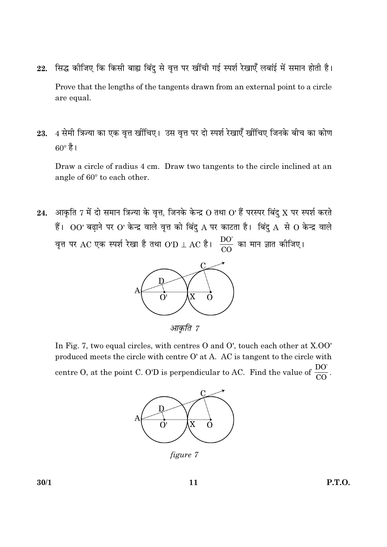- सिद्ध कीजिए कि किसी बाह्य बिंदु से वृत्त पर खींची गई स्पर्श रेखाएँ लबांई में समान होती है। 22. Prove that the lengths of the tangents drawn from an external point to a circle are equal.
- 4 सेमी त्रिज्या का एक वृत्त खींचिए। उस वृत्त पर दो स्पर्श रेखाएँ खींचिए जिनके बीच का कोण 23.  $60^\circ \, \grave{\vec{5}}$ ।

Draw a circle of radius 4 cm. Draw two tangents to the circle inclined at an angle of 60° to each other.

आकृति 7 में दो समान त्रिज्या के वृत्त, जिनके केन्द्र  $O$  तथा  $O'$  हैं परस्पर बिंदु  $X$  पर स्पर्श करते 24. हैं।  $OO'$  बढ़ाने पर  $O'$  केन्द्र वाले वृत्त को बिंदु  $A$  पर काटता है। बिंदु  $A$  से  $O$  केन्द्र वाले वृत्त पर AC एक स्पर्श रेखा है तथा O'D  $\perp$  AC है।  $\frac{DO'}{CO}$  का मान ज्ञात कीजिए।



आकृति 7

In Fig. 7, two equal circles, with centres O and O', touch each other at X.OO' produced meets the circle with centre O' at A. AC is tangent to the circle with centre O, at the point C. O'D is perpendicular to AC. Find the value of  $\frac{DO'}{CO}$ .



figure 7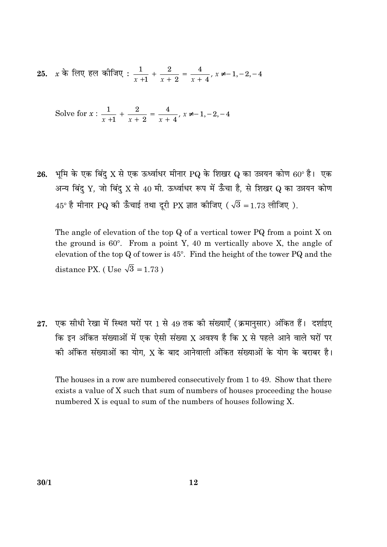25. x के लिए हल कीजिए :  $\frac{1}{x+1} + \frac{2}{x+2} = \frac{4}{x+4}$ ,  $x \neq -1, -2, -4$ 

Solve for 
$$
x : \frac{1}{x+1} + \frac{2}{x+2} = \frac{4}{x+4}
$$
,  $x \neq -1, -2, -4$ 

26. भूमि के एक बिंदु X से एक ऊर्ध्वाधर मीनार PQ के शिखर Q का उन्नयन कोण 60° है। एक अन्य बिंद् Y, जो बिंद् X से 40 मी. ऊर्ध्वाधर रूप में ऊँचा है, से शिखर Q का उन्नयन कोण  $45^{\circ}$  है मीनार PQ की ऊँचाई तथा दूरी PX ज्ञात कीजिए ( $\sqrt{3}$  = 1.73 लीजिए).

The angle of elevation of the top Q of a vertical tower PQ from a point X on the ground is  $60^\circ$ . From a point Y, 40 m vertically above X, the angle of elevation of the top  $Q$  of tower is  $45^{\circ}$ . Find the height of the tower PQ and the distance PX. (Use  $\sqrt{3}$  = 1.73)

27. एक सीधी रेखा में स्थित घरों पर 1 से 49 तक की संख्याएँ (क्रमानसार) अंकित हैं। दर्शाइए कि इन अंकित संख्याओं में एक ऐसी संख्या X अवश्य है कि X से पहले आने वाले घरों पर की अंकित संख्याओं का योग, X के बाद आनेवाली अंकित संख्याओं के योग के बराबर है।

The houses in a row are numbered consecutively from 1 to 49. Show that there exists a value of X such that sum of numbers of houses proceeding the house numbered X is equal to sum of the numbers of houses following X.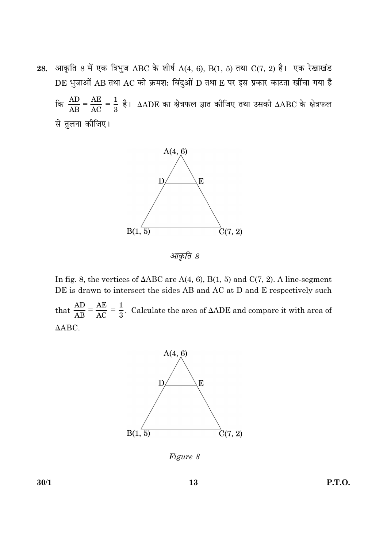आकृति 8 में एक त्रिभुज ABC के शीर्ष A(4, 6), B(1, 5) तथा C(7, 2) है। एक रेखाखंड 28. DE भुजाओं AB तथा AC को क्रमश: बिंदुओं D तथा E पर इस प्रकार काटता खींचा गया है कि  $\frac{AD}{AB} = \frac{AE}{AC} = \frac{1}{3}$  है।  $\triangle ADE$  का क्षेत्रफल ज्ञात कीजिए तथा उसकी  $\triangle ABC$  के क्षेत्रफल से तुलना कीजिए।



आकृति 8

In fig. 8, the vertices of  $\triangle ABC$  are A(4, 6), B(1, 5) and C(7, 2). A line-segment DE is drawn to intersect the sides AB and AC at D and E respectively such

that  $\frac{AD}{AB} = \frac{AE}{AC} = \frac{1}{3}$ . Calculate the area of  $\triangle ADE$  and compare it with area of  $\triangle ABC$ .



Figure 8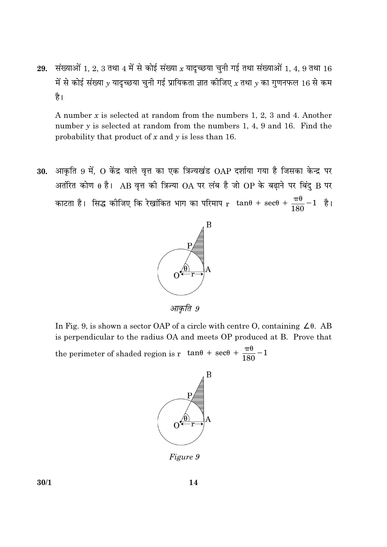29. संख्याओं 1, 2, 3 तथा 4 में से कोई संख्या  $x$  यादृच्छया चुनी गई तथा संख्याओं 1, 4, 9 तथा 16 में से कोई संख्या  $y$  यादृच्छया चुनी गई प्रायिकता ज्ञात कीजिए  $x$  तथा  $y$  का गुणनफल 16 से कम है।

A number  $x$  is selected at random from the numbers 1, 2, 3 and 4. Another number  $y$  is selected at random from the numbers 1, 4, 9 and 16. Find the probability that product of  $x$  and  $y$  is less than 16.

आकृति 9 में, O केंद्र वाले वृत्त का एक त्रिज्यखंड OAP दर्शाया गया है जिसका केन्द्र पर 30. अतंरित कोण  $\theta$  है। AB वृत्त की त्रिज्या OA पर लंब है जो OP के बढ़ाने पर बिंदु B पर काटता है। सिद्ध कीजिए कि रेखांकित भाग का परिमाप  $r\left[\tan\theta + \sec\theta + \frac{\pi\theta}{180} - 1\right]$  है।



आकृति 9

In Fig. 9, is shown a sector OAP of a circle with centre O, containing  $\angle \theta$ . AB is perpendicular to the radius OA and meets OP produced at B. Prove that the perimeter of shaded region is r  $\tan\theta$  + sec $\theta$  +  $\frac{\pi\theta}{180}$  - 1



*Figure 9*